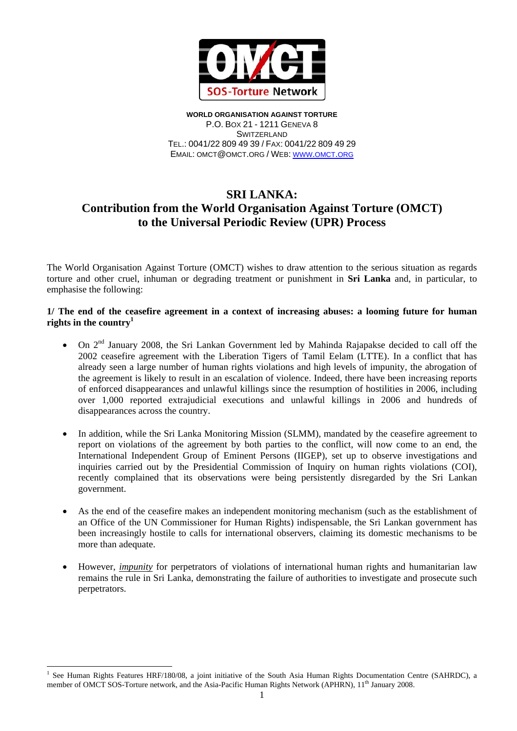

**WORLD ORGANISATION AGAINST TORTURE** P.O. BOX 21 - 1211 GENEVA 8 **SWITZERLAND** TEL.: 0041/22 809 49 39 / FAX: 0041/22 809 49 29 EMAIL: OMCT@OMCT.ORG / WEB: WWW.OMCT.ORG

# **SRI LANKA: Contribution from the World Organisation Against Torture (OMCT) to the Universal Periodic Review (UPR) Process**

The World Organisation Against Torture (OMCT) wishes to draw attention to the serious situation as regards torture and other cruel, inhuman or degrading treatment or punishment in **Sri Lanka** and, in particular, to emphasise the following:

### **1/ The end of the ceasefire agreement in a context of increasing abuses: a looming future for human rights in the country<sup>1</sup>**

- On 2<sup>nd</sup> January 2008, the Sri Lankan Government led by Mahinda Rajapakse decided to call off the 2002 ceasefire agreement with the Liberation Tigers of Tamil Eelam (LTTE). In a conflict that has already seen a large number of human rights violations and high levels of impunity, the abrogation of the agreement is likely to result in an escalation of violence. Indeed, there have been increasing reports of enforced disappearances and unlawful killings since the resumption of hostilities in 2006, including over 1,000 reported extrajudicial executions and unlawful killings in 2006 and hundreds of disappearances across the country.
- In addition, while the Sri Lanka Monitoring Mission (SLMM), mandated by the ceasefire agreement to report on violations of the agreement by both parties to the conflict, will now come to an end, the International Independent Group of Eminent Persons (IIGEP), set up to observe investigations and inquiries carried out by the Presidential Commission of Inquiry on human rights violations (COI), recently complained that its observations were being persistently disregarded by the Sri Lankan government.
- As the end of the ceasefire makes an independent monitoring mechanism (such as the establishment of an Office of the UN Commissioner for Human Rights) indispensable, the Sri Lankan government has been increasingly hostile to calls for international observers, claiming its domestic mechanisms to be more than adequate.
- However, *impunity* for perpetrators of violations of international human rights and humanitarian law remains the rule in Sri Lanka, demonstrating the failure of authorities to investigate and prosecute such perpetrators.

 $\overline{a}$ 

<sup>&</sup>lt;sup>1</sup> See Human Rights Features HRF/180/08, a joint initiative of the South Asia Human Rights Documentation Centre (SAHRDC), a member of OMCT SOS-Torture network, and the Asia-Pacific Human Rights Network (APHRN), 11<sup>th</sup> January 2008.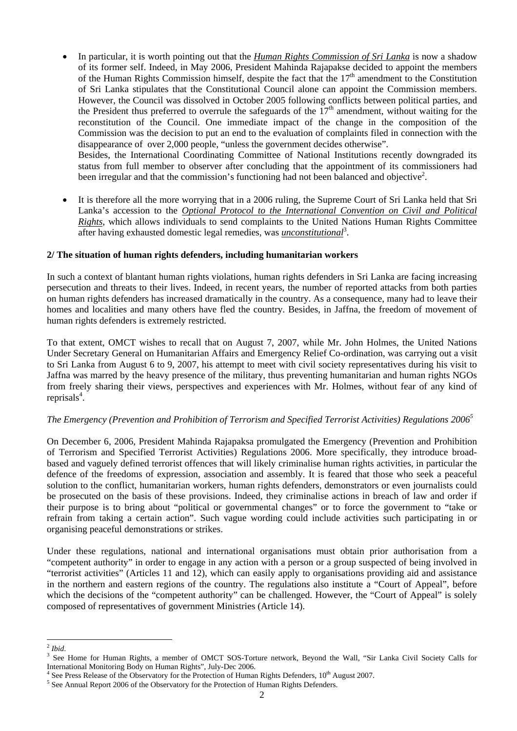• In particular, it is worth pointing out that the *Human Rights Commission of Sri Lanka* is now a shadow of its former self. Indeed, in May 2006, President Mahinda Rajapakse decided to appoint the members of the Human Rights Commission himself, despite the fact that the  $17<sup>th</sup>$  amendment to the Constitution of Sri Lanka stipulates that the Constitutional Council alone can appoint the Commission members. However, the Council was dissolved in October 2005 following conflicts between political parties, and the President thus preferred to overrule the safeguards of the  $17<sup>th</sup>$  amendment, without waiting for the reconstitution of the Council. One immediate impact of the change in the composition of the Commission was the decision to put an end to the evaluation of complaints filed in connection with the disappearance of over 2,000 people, "unless the government decides otherwise".

Besides, the International Coordinating Committee of National Institutions recently downgraded its status from full member to observer after concluding that the appointment of its commissioners had been irregular and that the commission's functioning had not been balanced and objective<sup>2</sup>.

• It is therefore all the more worrying that in a 2006 ruling, the Supreme Court of Sri Lanka held that Sri Lanka's accession to the *Optional Protocol to the International Convention on Civil and Political Rights*, which allows individuals to send complaints to the United Nations Human Rights Committee after having exhausted domestic legal remedies, was *unconstitutional*<sup>3</sup>.

# **2/ The situation of human rights defenders, including humanitarian workers**

In such a context of blantant human rights violations, human rights defenders in Sri Lanka are facing increasing persecution and threats to their lives. Indeed, in recent years, the number of reported attacks from both parties on human rights defenders has increased dramatically in the country. As a consequence, many had to leave their homes and localities and many others have fled the country. Besides, in Jaffna, the freedom of movement of human rights defenders is extremely restricted.

To that extent, OMCT wishes to recall that on August 7, 2007, while Mr. John Holmes, the United Nations Under Secretary General on Humanitarian Affairs and Emergency Relief Co-ordination, was carrying out a visit to Sri Lanka from August 6 to 9, 2007, his attempt to meet with civil society representatives during his visit to Jaffna was marred by the heavy presence of the military, thus preventing humanitarian and human rights NGOs from freely sharing their views, perspectives and experiences with Mr. Holmes, without fear of any kind of reprisals<sup>4</sup>.

#### *The Emergency (Prevention and Prohibition of Terrorism and Specified Terrorist Activities) Regulations 20065*

On December 6, 2006, President Mahinda Rajapaksa promulgated the Emergency (Prevention and Prohibition of Terrorism and Specified Terrorist Activities) Regulations 2006. More specifically, they introduce broadbased and vaguely defined terrorist offences that will likely criminalise human rights activities, in particular the defence of the freedoms of expression, association and assembly. It is feared that those who seek a peaceful solution to the conflict, humanitarian workers, human rights defenders, demonstrators or even journalists could be prosecuted on the basis of these provisions. Indeed, they criminalise actions in breach of law and order if their purpose is to bring about "political or governmental changes" or to force the government to "take or refrain from taking a certain action". Such vague wording could include activities such participating in or organising peaceful demonstrations or strikes.

Under these regulations, national and international organisations must obtain prior authorisation from a "competent authority" in order to engage in any action with a person or a group suspected of being involved in "terrorist activities" (Articles 11 and 12), which can easily apply to organisations providing aid and assistance in the northern and eastern regions of the country. The regulations also institute a "Court of Appeal", before which the decisions of the "competent authority" can be challenged. However, the "Court of Appeal" is solely composed of representatives of government Ministries (Article 14).

 $\overline{a}$ 

 $\frac{2}{3}$  *Ibid.* 

See Home for Human Rights, a member of OMCT SOS-Torture network, Beyond the Wall, "Sir Lanka Civil Society Calls for International Monitoring Body on Human Rights", July-Dec 2006.

<sup>&</sup>lt;sup>4</sup> See Press Release of the Observatory for the Protection of Human Rights Defenders,  $10^{th}$  August 2007.

<sup>&</sup>lt;sup>5</sup> See Annual Report 2006 of the Observatory for the Protection of Human Rights Defenders.